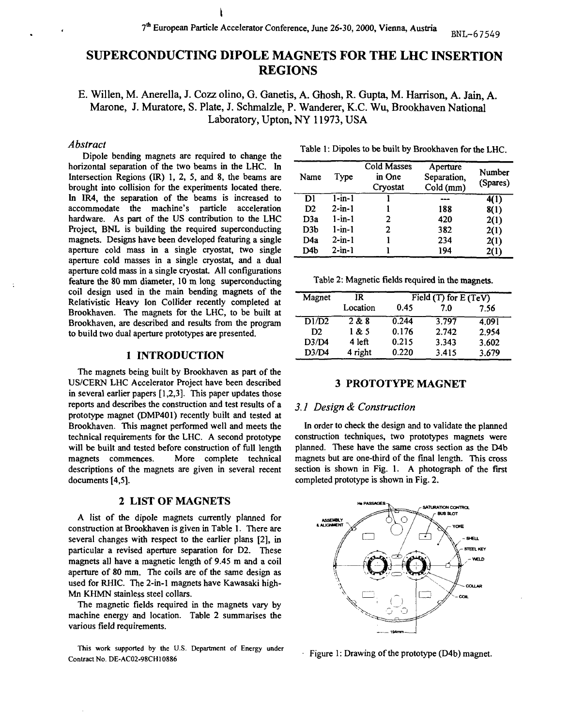# SUPERCONDUCTING DIPOLE MAGNETS FOR THE LHC INSERTION REGIONS

E. Willen, M. Anerella, J. Cozz olino, G. Ganetis, A. Ghosh, R. Gupta, M. Harrison, A. Jain, A. Marone, J. Muratore, S. Plate, J. Schmalzle, P. Wanderer, K.C. Wu, Brookhaven National Laboratory, Upton, NY 11973, USA

## *Abstract*

Dipole bending magnets are required to change the horizontal separation of the two beams in the LHC. In Intersection Regions (IR) 1, 2, 5, and 8, the beams are brought into collision for the experiments located there. In IR4, the separation of the beams is increased to accommodate the machine's particle acceleration hardware. As part of the US contribution to the LHC Project, BNL is building the required superconducting magnets. Designs have been developed featuring a single aperture cold mass in a single cryostat, two single aperture cold masses in a single cryostat, and a dual aperture cold mass in a single cryostat. All configurations feature the 80 mm diameter, 10 m long superconducting coil design used in the main bending magnets of the Relativistic Heavy Ion Collider recently completed at Brookhaven. The magnets for the LHC, to be built at Brookhaven, are described and results from the program to build two dual aperture prototypes are presented.

#### **1 INTRODUCTION**

The magnets being built by Brookhaven as part of the US/CERN LHC Accelerator Project have been described in several earlier papers [1,2,3]. This paper updates those reports and describes the construction and test results of a prototype magnet (DMP401) recently built and tested at Brookhaven. This magnet performed well and meets the technical requirements for the LHC. A second prototype will be built and tested before construction of full length magnets commences. More complete technical descriptions of the magnets are given in several recent documents [4,5].

# **2 LIST OF MAGNETS**

A list of the dipole magnets currently planned for construction at Brookhaven is given in Table 1. There are several changes with respect to the earlier plans [2], in particular a revised aperture separation for D2. These magnets all have a magnetic length of 9.45 m and a coil aperture of 80 mm. The coils are of the same design as used for RHIC. The 2-in-l magnets have Kawasaki high-Mn KHMN stainless steel collars.

The magnetic fields required in the magnets vary by machine energy and location. Table 2 summarises the various field requirements.

**This work supported by the U.S. Department of Energy under Contract No. DE-AC02-98CH10886**

|  |  |  | Table 1: Dipoles to be built by Brookhaven for the LHC. |
|--|--|--|---------------------------------------------------------|
|--|--|--|---------------------------------------------------------|

| Name             | Type         | Cold Masses<br>in One<br>Cryostat | Aperture<br>Separation,<br>Cold (mm) | Number<br>(Spares) |
|------------------|--------------|-----------------------------------|--------------------------------------|--------------------|
| Dl               | $1 - in - 1$ |                                   |                                      | 4(1)               |
| D <sub>2</sub>   | $2 - in - 1$ |                                   | 188                                  | 8(1)               |
| D <sub>3</sub> a | $1 - in-1$   | 2                                 | 420                                  | 2(1)               |
| D <sub>3</sub> b | $1$ -in- $1$ | 2                                 | 382                                  | 2(1)               |
| D4a              | $2 - in - 1$ |                                   | 234                                  | 2(1)               |
| D4b              | $2 - in - 1$ |                                   | 194                                  | 2(1)               |

Table 2 : Magnetic fields required in the magnets.

| Magnet             | IR       | Field $(T)$ for $E(TeV)$ |       |       |  |
|--------------------|----------|--------------------------|-------|-------|--|
|                    | Location | 0.45                     | 7.0   | 7.56  |  |
| $\overline{D1/D2}$ | 2 & 8    | 0.244                    | 3.797 | 4.091 |  |
| D2                 | 1 & 5    | 0.176                    | 2.742 | 2.954 |  |
| D3/D4              | 4 left   | 0.215                    | 3.343 | 3.602 |  |
| D3/D4              | 4 right  | 0.220                    | 3.415 | 3.679 |  |

## **3 PROTOTYPE MAGNET**

#### *3.1 Design & Construction*

In order to check the design and to validate the planned construction techniques, two prototypes magnets were planned. These have the same cross section as the D4b magnets but are one-third of the final length. This cross section is shown in Fig. 1. A photograph of the first completed prototype is shown in Fig. 2.



 $\cdot$  Figure 1: Drawing of the prototype (D4b) magnet.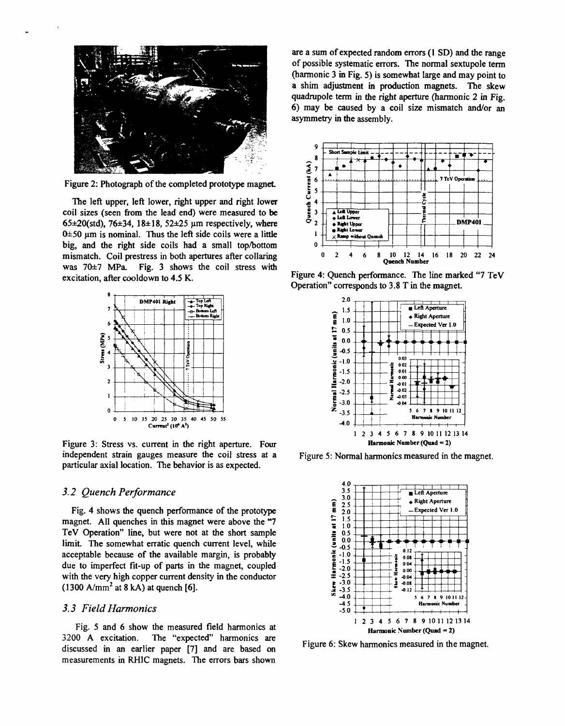

Figure 2: Photograph of the completed prototype magnet

The left upper, left lower, right upper and right lower coil sizes (seen from the lead end) were measured to be 65 $\pm$ 20(std), 76 $\pm$ 34, 18 $\pm$ 18, 52 $\pm$ 25 µm respectively, where  $0±50 \mu m$  is nominal. Thus the left side coils were a little big, and the right side coils had a small top/bottom mismatch. Coil prestress in both apertures after collaring was 70±7 MPa. Fig. 3 shows the coil stress with excitation, after cooldown to 4.5 K.



Figure 3: Stress vs. current in the right aperture. Four independent strain gauges measure the coil stress at a particular axial location. The behavior is as expected.

### *3.2 Quench Performance*

Fig. 4 shows the quench performance of the prototype magnet. All quenches in this magnet were above the "7 TeV Operation" line, but were not at the short sample limit. The somewhat erratic quench current level, while acceptable because of the available margin, is probably due to imperfect fit-up of parts in the magnet, coupled with the very high copper current density in the conductor  $(1300 \text{ A/mm}^2 \text{ at } 8 \text{ kA})$  at quench [6].

### *3.3 Field Harmonics*

Fig. 5 and 6 show the measured field harmonics at 3200 A excitation. The "expected" harmonics are discussed in an earlier paper [7] and are based on measurements in RH1C magnets. The errors bars shown are a sum of expected random errors (1 SD) and the range of possible systematic errors. The normal sextupole term (harmonic 3 in Fig. 5) is somewhat large and may point to a shim adjustment in production magnets. The skew quadrupole term in the right aperture (harmonic 2 in Fig. 6) may be caused by a coil size mismatch and/or an asymmetry in the assembly.



Figure 4: Quench performance. The line marked "7 TeV Operation" corresponds to 3.8 T in the magnet.



Figure 5: Normal harmonics measured in the magnet.



Figure 6: Skew harmonics measured in the magnet.